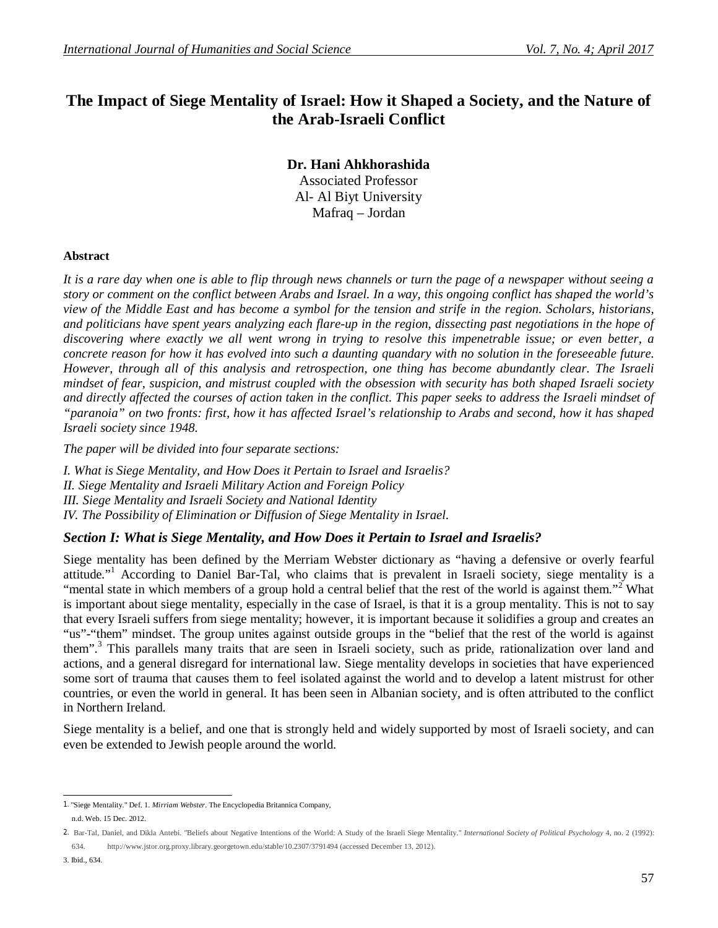# **The Impact of Siege Mentality of Israel: How it Shaped a Society, and the Nature of the Arab-Israeli Conflict**

**Dr. Hani Ahkhorashida** Associated Professor Al- Al Biyt University Mafraq – Jordan

#### **Abstract**

*It is a rare day when one is able to flip through news channels or turn the page of a newspaper without seeing a story or comment on the conflict between Arabs and Israel. In a way, this ongoing conflict has shaped the world's view of the Middle East and has become a symbol for the tension and strife in the region. Scholars, historians, and politicians have spent years analyzing each flare-up in the region, dissecting past negotiations in the hope of discovering where exactly we all went wrong in trying to resolve this impenetrable issue; or even better, a concrete reason for how it has evolved into such a daunting quandary with no solution in the foreseeable future. However, through all of this analysis and retrospection, one thing has become abundantly clear. The Israeli mindset of fear, suspicion, and mistrust coupled with the obsession with security has both shaped Israeli society and directly affected the courses of action taken in the conflict. This paper seeks to address the Israeli mindset of "paranoia" on two fronts: first, how it has affected Israel's relationship to Arabs and second, how it has shaped Israeli society since 1948.* 

*The paper will be divided into four separate sections:* 

*I. What is Siege Mentality, and How Does it Pertain to Israel and Israelis? II. Siege Mentality and Israeli Military Action and Foreign Policy III. Siege Mentality and Israeli Society and National Identity IV. The Possibility of Elimination or Diffusion of Siege Mentality in Israel.*

## *Section I: What is Siege Mentality, and How Does it Pertain to Israel and Israelis?*

Siege mentality has been defined by the Merriam Webster dictionary as "having a defensive or overly fearful attitude."<sup>1</sup> According to Daniel Bar-Tal, who claims that is prevalent in Israeli society, siege mentality is a "mental state in which members of a group hold a central belief that the rest of the world is against them."<sup>2</sup> What is important about siege mentality, especially in the case of Israel, is that it is a group mentality. This is not to say that every Israeli suffers from siege mentality; however, it is important because it solidifies a group and creates an "us"-"them" mindset. The group unites against outside groups in the "belief that the rest of the world is against them".<sup>3</sup> This parallels many traits that are seen in Israeli society, such as pride, rationalization over land and actions, and a general disregard for international law. Siege mentality develops in societies that have experienced some sort of trauma that causes them to feel isolated against the world and to develop a latent mistrust for other countries, or even the world in general. It has been seen in Albanian society, and is often attributed to the conflict in Northern Ireland.

Siege mentality is a belief, and one that is strongly held and widely supported by most of Israeli society, and can even be extended to Jewish people around the world.

 1. "Siege Mentality." Def. 1. *Mirriam Webster*. The Encyclopedia Britannica Company, n.d. Web. 15 Dec. 2012.

<sup>2.</sup> Bar-Tal, Daniel, and Dikla Antebi. "Beliefs about Negative Intentions of the World: A Study of the Israeli Siege Mentality." *International Society of Political Psychology* 4, no. 2 (1992): 634. http://www.jstor.org.proxy.library.georgetown.edu/stable/10.2307/3791494 (accessed December 13, 2012).

<sup>3.</sup> Ibid., 634.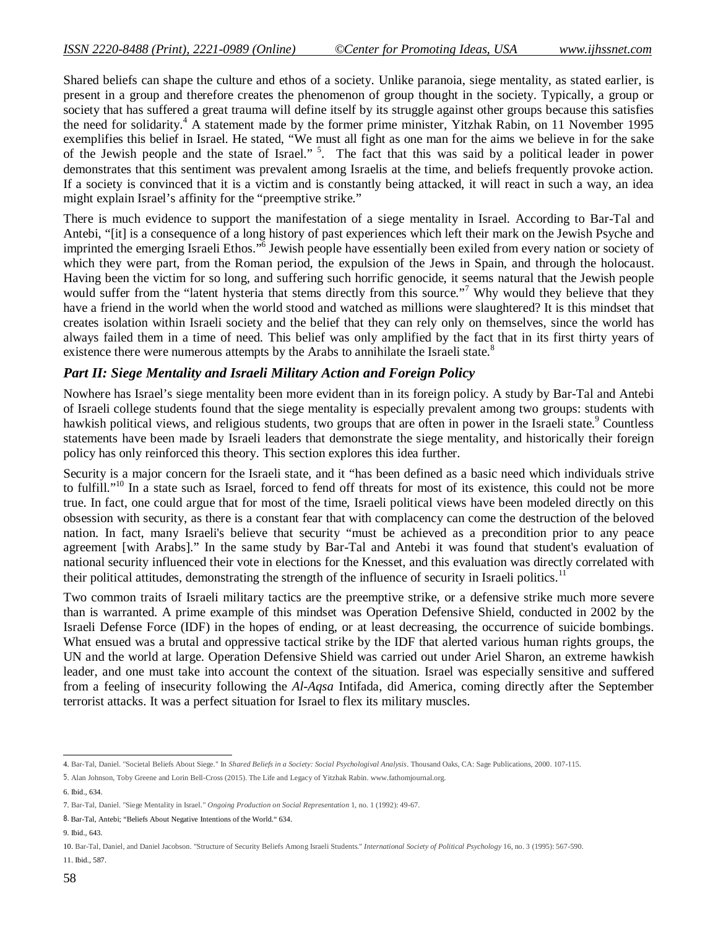Shared beliefs can shape the culture and ethos of a society. Unlike paranoia, siege mentality, as stated earlier, is present in a group and therefore creates the phenomenon of group thought in the society. Typically, a group or society that has suffered a great trauma will define itself by its struggle against other groups because this satisfies the need for solidarity.<sup>4</sup> A statement made by the former prime minister, Yitzhak Rabin, on 11 November 1995 exemplifies this belief in Israel. He stated, "We must all fight as one man for the aims we believe in for the sake of the Jewish people and the state of Israel."<sup>5</sup>. The fact that this was said by a political leader in power demonstrates that this sentiment was prevalent among Israelis at the time, and beliefs frequently provoke action. If a society is convinced that it is a victim and is constantly being attacked, it will react in such a way, an idea might explain Israel's affinity for the "preemptive strike."

There is much evidence to support the manifestation of a siege mentality in Israel. According to Bar-Tal and Antebi, "[it] is a consequence of a long history of past experiences which left their mark on the Jewish Psyche and imprinted the emerging Israeli Ethos."<sup>6</sup> Jewish people have essentially been exiled from every nation or society of which they were part, from the Roman period, the expulsion of the Jews in Spain, and through the holocaust. Having been the victim for so long, and suffering such horrific genocide, it seems natural that the Jewish people would suffer from the "latent hysteria that stems directly from this source."<sup>7</sup> Why would they believe that they have a friend in the world when the world stood and watched as millions were slaughtered? It is this mindset that creates isolation within Israeli society and the belief that they can rely only on themselves, since the world has always failed them in a time of need. This belief was only amplified by the fact that in its first thirty years of existence there were numerous attempts by the Arabs to annihilate the Israeli state.<sup>8</sup>

#### *Part II: Siege Mentality and Israeli Military Action and Foreign Policy*

Nowhere has Israel's siege mentality been more evident than in its foreign policy. A study by Bar-Tal and Antebi of Israeli college students found that the siege mentality is especially prevalent among two groups: students with hawkish political views, and religious students, two groups that are often in power in the Israeli state.<sup>9</sup> Countless statements have been made by Israeli leaders that demonstrate the siege mentality, and historically their foreign policy has only reinforced this theory. This section explores this idea further.

Security is a major concern for the Israeli state, and it "has been defined as a basic need which individuals strive to fulfill."<sup>10</sup> In a state such as Israel, forced to fend off threats for most of its existence, this could not be more true. In fact, one could argue that for most of the time, Israeli political views have been modeled directly on this obsession with security, as there is a constant fear that with complacency can come the destruction of the beloved nation. In fact, many Israeli's believe that security "must be achieved as a precondition prior to any peace agreement [with Arabs]." In the same study by Bar-Tal and Antebi it was found that student's evaluation of national security influenced their vote in elections for the Knesset, and this evaluation was directly correlated with their political attitudes, demonstrating the strength of the influence of security in Israeli politics.<sup>11</sup>

Two common traits of Israeli military tactics are the preemptive strike, or a defensive strike much more severe than is warranted. A prime example of this mindset was Operation Defensive Shield, conducted in 2002 by the Israeli Defense Force (IDF) in the hopes of ending, or at least decreasing, the occurrence of suicide bombings. What ensued was a brutal and oppressive tactical strike by the IDF that alerted various human rights groups, the UN and the world at large. Operation Defensive Shield was carried out under Ariel Sharon, an extreme hawkish leader, and one must take into account the context of the situation. Israel was especially sensitive and suffered from a feeling of insecurity following the *Al-Aqsa* Intifada, did America, coming directly after the September terrorist attacks. It was a perfect situation for Israel to flex its military muscles.

9. Ibid., 643.

 4. Bar-Tal, Daniel. "Societal Beliefs About Siege." In *Shared Beliefs in a Society: Social Psychologival Analysis*. Thousand Oaks, CA: Sage Publications, 2000. 107-115.

<sup>5</sup>. Alan Johnson, Toby Greene and Lorin Bell-Cross (2015). The Life and Legacy of Yitzhak Rabin. www.fathomjournal.org.

<sup>6.</sup> Ibid., 634.

<sup>7.</sup> Bar-Tal, Daniel. "Siege Mentality in Israel." *Ongoing Production on Social Representation* 1, no. 1 (1992): 49-67.

<sup>8.</sup> Bar-Tal, Antebi; "Beliefs About Negative Intentions of the World." 634.

<sup>10.</sup> Bar-Tal, Daniel, and Daniel Jacobson. "Structure of Security Beliefs Among Israeli Students." *International Society of Political Psychology* 16, no. 3 (1995): 567-590. 11. Ibid., 587.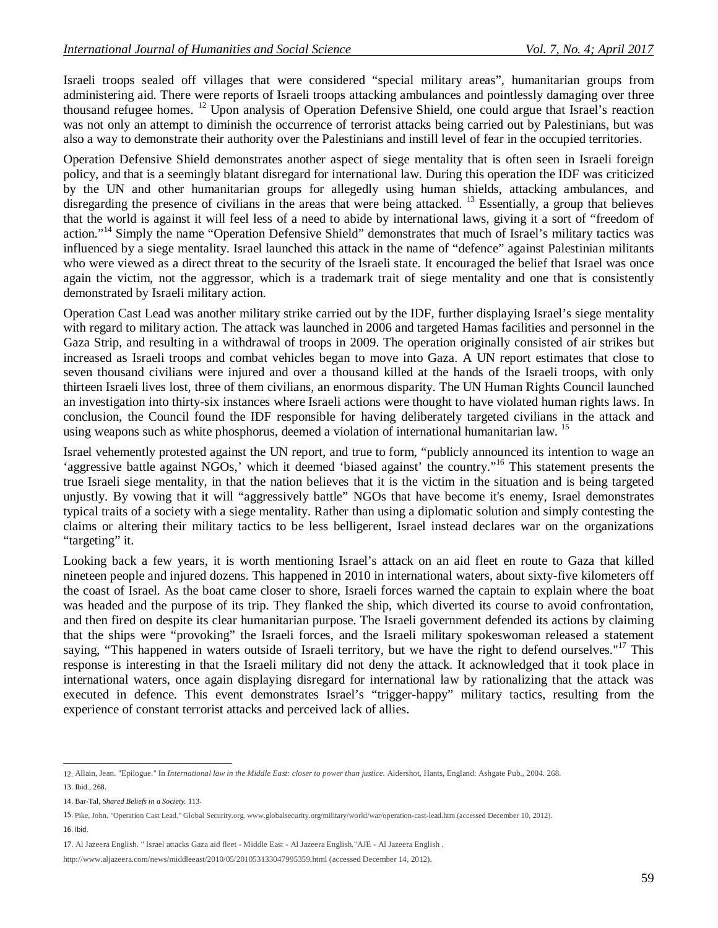Israeli troops sealed off villages that were considered "special military areas", humanitarian groups from administering aid. There were reports of Israeli troops attacking ambulances and pointlessly damaging over three thousand refugee homes. <sup>12</sup> Upon analysis of Operation Defensive Shield, one could argue that Israel's reaction was not only an attempt to diminish the occurrence of terrorist attacks being carried out by Palestinians, but was also a way to demonstrate their authority over the Palestinians and instill level of fear in the occupied territories.

Operation Defensive Shield demonstrates another aspect of siege mentality that is often seen in Israeli foreign policy, and that is a seemingly blatant disregard for international law. During this operation the IDF was criticized by the UN and other humanitarian groups for allegedly using human shields, attacking ambulances, and disregarding the presence of civilians in the areas that were being attacked. <sup>13</sup> Essentially, a group that believes that the world is against it will feel less of a need to abide by international laws, giving it a sort of "freedom of action."<sup>14</sup> Simply the name "Operation Defensive Shield" demonstrates that much of Israel's military tactics was influenced by a siege mentality. Israel launched this attack in the name of "defence" against Palestinian militants who were viewed as a direct threat to the security of the Israeli state. It encouraged the belief that Israel was once again the victim, not the aggressor, which is a trademark trait of siege mentality and one that is consistently demonstrated by Israeli military action.

Operation Cast Lead was another military strike carried out by the IDF, further displaying Israel's siege mentality with regard to military action. The attack was launched in 2006 and targeted Hamas facilities and personnel in the Gaza Strip, and resulting in a withdrawal of troops in 2009. The operation originally consisted of air strikes but increased as Israeli troops and combat vehicles began to move into Gaza. A UN report estimates that close to seven thousand civilians were injured and over a thousand killed at the hands of the Israeli troops, with only thirteen Israeli lives lost, three of them civilians, an enormous disparity. The UN Human Rights Council launched an investigation into thirty-six instances where Israeli actions were thought to have violated human rights laws. In conclusion, the Council found the IDF responsible for having deliberately targeted civilians in the attack and using weapons such as white phosphorus, deemed a violation of international humanitarian law. <sup>15</sup>

Israel vehemently protested against the UN report, and true to form, "publicly announced its intention to wage an 'aggressive battle against NGOs,' which it deemed 'biased against' the country."<sup>16</sup> This statement presents the true Israeli siege mentality, in that the nation believes that it is the victim in the situation and is being targeted unjustly. By vowing that it will "aggressively battle" NGOs that have become it's enemy, Israel demonstrates typical traits of a society with a siege mentality. Rather than using a diplomatic solution and simply contesting the claims or altering their military tactics to be less belligerent, Israel instead declares war on the organizations "targeting" it.

Looking back a few years, it is worth mentioning Israel's attack on an aid fleet en route to Gaza that killed nineteen people and injured dozens. This happened in 2010 in international waters, about sixty-five kilometers off the coast of Israel. As the boat came closer to shore, Israeli forces warned the captain to explain where the boat was headed and the purpose of its trip. They flanked the ship, which diverted its course to avoid confrontation, and then fired on despite its clear humanitarian purpose. The Israeli government defended its actions by claiming that the ships were "provoking" the Israeli forces, and the Israeli military spokeswoman released a statement saying, "This happened in waters outside of Israeli territory, but we have the right to defend ourselves."<sup>17</sup> This response is interesting in that the Israeli military did not deny the attack. It acknowledged that it took place in international waters, once again displaying disregard for international law by rationalizing that the attack was executed in defence. This event demonstrates Israel's "trigger-happy" military tactics, resulting from the experience of constant terrorist attacks and perceived lack of allies.

 12. Allain, Jean. "Epilogue." In *International law in the Middle East: closer to power than justice*. Aldershot, Hants, England: Ashgate Pub., 2004. 268.

<sup>13.</sup> Ibid., 268.

<sup>14.</sup> Bar-Tal, *Shared Beliefs in a Society.* 113.

<sup>15.</sup> Pike, John. "Operation Cast Lead." Global Security.org. www.globalsecurity.org/military/world/war/operation-cast-lead.htm (accessed December 10, 2012). 16. Ibid.

<sup>17.</sup> Al Jazeera English. " Israel attacks Gaza aid fleet - Middle East - Al Jazeera English."AJE - Al Jazeera English .

http://www.aljazeera.com/news/middleeast/2010/05/201053133047995359.html (accessed December 14, 2012).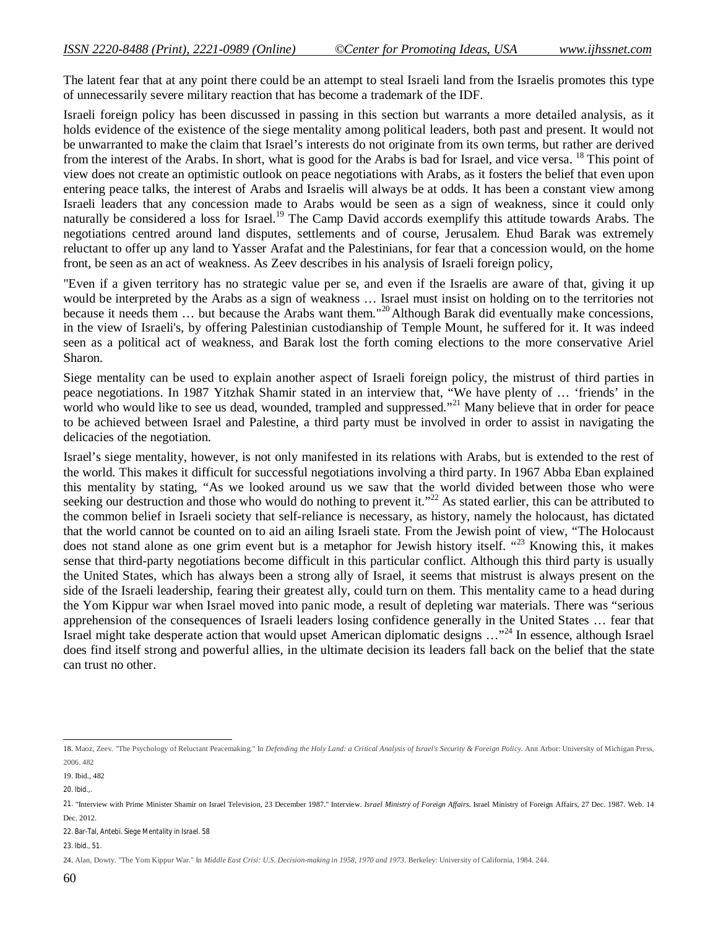The latent fear that at any point there could be an attempt to steal Israeli land from the Israelis promotes this type of unnecessarily severe military reaction that has become a trademark of the IDF.

Israeli foreign policy has been discussed in passing in this section but warrants a more detailed analysis, as it holds evidence of the existence of the siege mentality among political leaders, both past and present. It would not be unwarranted to make the claim that Israel's interests do not originate from its own terms, but rather are derived from the interest of the Arabs. In short, what is good for the Arabs is bad for Israel, and vice versa. <sup>18</sup> This point of view does not create an optimistic outlook on peace negotiations with Arabs, as it fosters the belief that even upon entering peace talks, the interest of Arabs and Israelis will always be at odds. It has been a constant view among Israeli leaders that any concession made to Arabs would be seen as a sign of weakness, since it could only naturally be considered a loss for Israel.<sup>19</sup> The Camp David accords exemplify this attitude towards Arabs. The negotiations centred around land disputes, settlements and of course, Jerusalem. Ehud Barak was extremely reluctant to offer up any land to Yasser Arafat and the Palestinians, for fear that a concession would, on the home front, be seen as an act of weakness. As Zeev describes in his analysis of Israeli foreign policy,

"Even if a given territory has no strategic value per se, and even if the Israelis are aware of that, giving it up would be interpreted by the Arabs as a sign of weakness … Israel must insist on holding on to the territories not because it needs them ... but because the Arabs want them."<sup>20</sup> Although Barak did eventually make concessions, in the view of Israeli's, by offering Palestinian custodianship of Temple Mount, he suffered for it. It was indeed seen as a political act of weakness, and Barak lost the forth coming elections to the more conservative Ariel Sharon.

Siege mentality can be used to explain another aspect of Israeli foreign policy, the mistrust of third parties in peace negotiations. In 1987 Yitzhak Shamir stated in an interview that, "We have plenty of … 'friends' in the world who would like to see us dead, wounded, trampled and suppressed."<sup>21</sup> Many believe that in order for peace to be achieved between Israel and Palestine, a third party must be involved in order to assist in navigating the delicacies of the negotiation.

Israel's siege mentality, however, is not only manifested in its relations with Arabs, but is extended to the rest of the world. This makes it difficult for successful negotiations involving a third party. In 1967 Abba Eban explained this mentality by stating, "As we looked around us we saw that the world divided between those who were seeking our destruction and those who would do nothing to prevent it."<sup>22</sup> As stated earlier, this can be attributed to the common belief in Israeli society that self-reliance is necessary, as history, namely the holocaust, has dictated that the world cannot be counted on to aid an ailing Israeli state. From the Jewish point of view, "The Holocaust does not stand alone as one grim event but is a metaphor for Jewish history itself. "<sup>23</sup> Knowing this, it makes sense that third-party negotiations become difficult in this particular conflict. Although this third party is usually the United States, which has always been a strong ally of Israel, it seems that mistrust is always present on the side of the Israeli leadership, fearing their greatest ally, could turn on them. This mentality came to a head during the Yom Kippur war when Israel moved into panic mode, a result of depleting war materials. There was "serious apprehension of the consequences of Israeli leaders losing confidence generally in the United States … fear that Israel might take desperate action that would upset American diplomatic designs …"<sup>24</sup> In essence, although Israel does find itself strong and powerful allies, in the ultimate decision its leaders fall back on the belief that the state can trust no other.

 18. Maoz, Zeev. "The Psychology of Reluctant Peacemaking." In *Defending the Holy Land: a Critical Analysis of Israel's Security & Foreign Policy*. Ann Arbor: University of Michigan Press, 2006. 482

<sup>19.</sup> Ibid., 482

<sup>20.</sup> Ibid.,.

<sup>21.</sup> "Interview with Prime Minister Shamir on Israel Television, 23 December 1987." Interview. *Israel Ministry of Foreign Affairs*. Israel Ministry of Foreign Affairs, 27 Dec. 1987. Web. 14 Dec. 2012.

<sup>22.</sup> Bar-Tal, Antebi. *Siege Mentality in Israel*. 58

<sup>23.</sup> Ibid., 51.

<sup>24.</sup> Alan, Dowty. "The Yom Kippur War." In *Middle East Crisi: U.S. Decision-making in 1958, 1970 and 1973*. Berkeley: University of California, 1984. 244.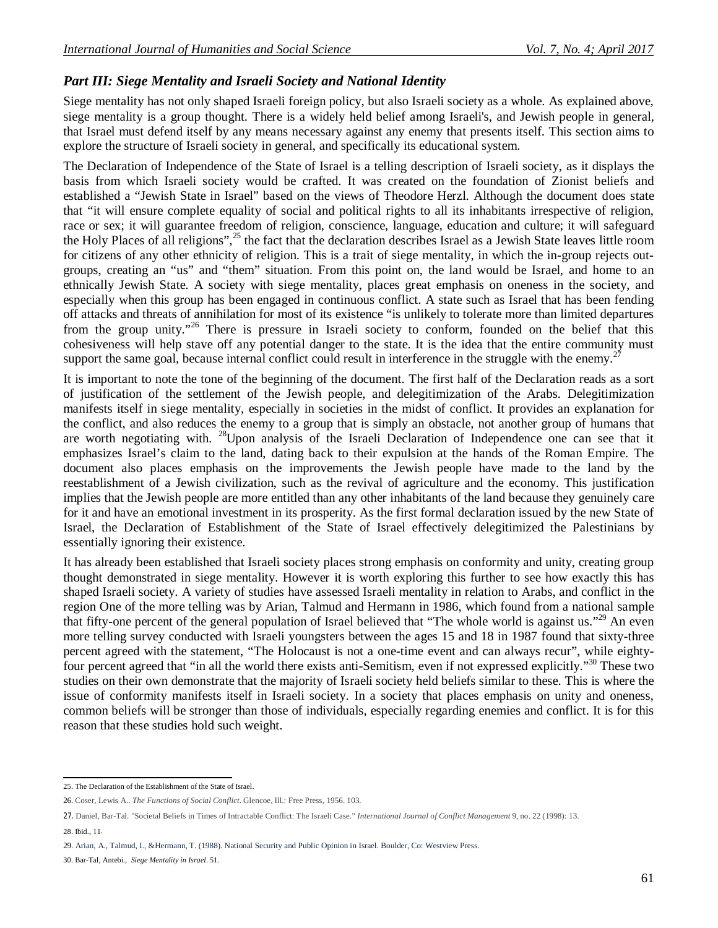## *Part III: Siege Mentality and Israeli Society and National Identity*

Siege mentality has not only shaped Israeli foreign policy, but also Israeli society as a whole. As explained above, siege mentality is a group thought. There is a widely held belief among Israeli's, and Jewish people in general, that Israel must defend itself by any means necessary against any enemy that presents itself. This section aims to explore the structure of Israeli society in general, and specifically its educational system.

The Declaration of Independence of the State of Israel is a telling description of Israeli society, as it displays the basis from which Israeli society would be crafted. It was created on the foundation of Zionist beliefs and established a "Jewish State in Israel" based on the views of Theodore Herzl. Although the document does state that "it will ensure complete equality of social and political rights to all its inhabitants irrespective of religion, race or sex; it will guarantee freedom of religion, conscience, language, education and culture; it will safeguard the Holy Places of all religions",<sup>25</sup> the fact that the declaration describes Israel as a Jewish State leaves little room for citizens of any other ethnicity of religion. This is a trait of siege mentality, in which the in-group rejects outgroups, creating an "us" and "them" situation. From this point on, the land would be Israel, and home to an ethnically Jewish State. A society with siege mentality, places great emphasis on oneness in the society, and especially when this group has been engaged in continuous conflict. A state such as Israel that has been fending off attacks and threats of annihilation for most of its existence "is unlikely to tolerate more than limited departures from the group unity."<sup>26</sup> There is pressure in Israeli society to conform, founded on the belief that this cohesiveness will help stave off any potential danger to the state. It is the idea that the entire community must support the same goal, because internal conflict could result in interference in the struggle with the enemy.<sup>2</sup>

It is important to note the tone of the beginning of the document. The first half of the Declaration reads as a sort of justification of the settlement of the Jewish people, and delegitimization of the Arabs. Delegitimization manifests itself in siege mentality, especially in societies in the midst of conflict. It provides an explanation for the conflict, and also reduces the enemy to a group that is simply an obstacle, not another group of humans that are worth negotiating with. <sup>28</sup>Upon analysis of the Israeli Declaration of Independence one can see that it emphasizes Israel's claim to the land, dating back to their expulsion at the hands of the Roman Empire. The document also places emphasis on the improvements the Jewish people have made to the land by the reestablishment of a Jewish civilization, such as the revival of agriculture and the economy. This justification implies that the Jewish people are more entitled than any other inhabitants of the land because they genuinely care for it and have an emotional investment in its prosperity. As the first formal declaration issued by the new State of Israel, the Declaration of Establishment of the State of Israel effectively delegitimized the Palestinians by essentially ignoring their existence.

It has already been established that Israeli society places strong emphasis on conformity and unity, creating group thought demonstrated in siege mentality. However it is worth exploring this further to see how exactly this has shaped Israeli society. A variety of studies have assessed Israeli mentality in relation to Arabs, and conflict in the region One of the more telling was by Arian, Talmud and Hermann in 1986, which found from a national sample that fifty-one percent of the general population of Israel believed that "The whole world is against us."<sup>29</sup> An even more telling survey conducted with Israeli youngsters between the ages 15 and 18 in 1987 found that sixty-three percent agreed with the statement, "The Holocaust is not a one-time event and can always recur", while eightyfour percent agreed that "in all the world there exists anti-Semitism, even if not expressed explicitly."<sup>30</sup> These two studies on their own demonstrate that the majority of Israeli society held beliefs similar to these. This is where the issue of conformity manifests itself in Israeli society. In a society that places emphasis on unity and oneness, common beliefs will be stronger than those of individuals, especially regarding enemies and conflict. It is for this reason that these studies hold such weight.

 25. The Declaration of the Establishment of the State of Israel.

<sup>26.</sup> Coser, Lewis A.. *The Functions of Social Conflict*. Glencoe, Ill.: Free Press, 1956. 103.

<sup>27.</sup> Daniel, Bar-Tal. "Societal Beliefs in Times of Intractable Conflict: The Israeli Case." *International Journal of Conflict Management* 9, no. 22 (1998): 13.

<sup>28.</sup> Ibid., 11.

<sup>29.</sup> Arian, A., Talmud, I., &Hermann, T. (1988). National Security and Public Opinion in Israel. Boulder, Co: Westview Press.

<sup>30.</sup> Bar-Tal, Antebi., *Siege Mentality in Israel*. 51.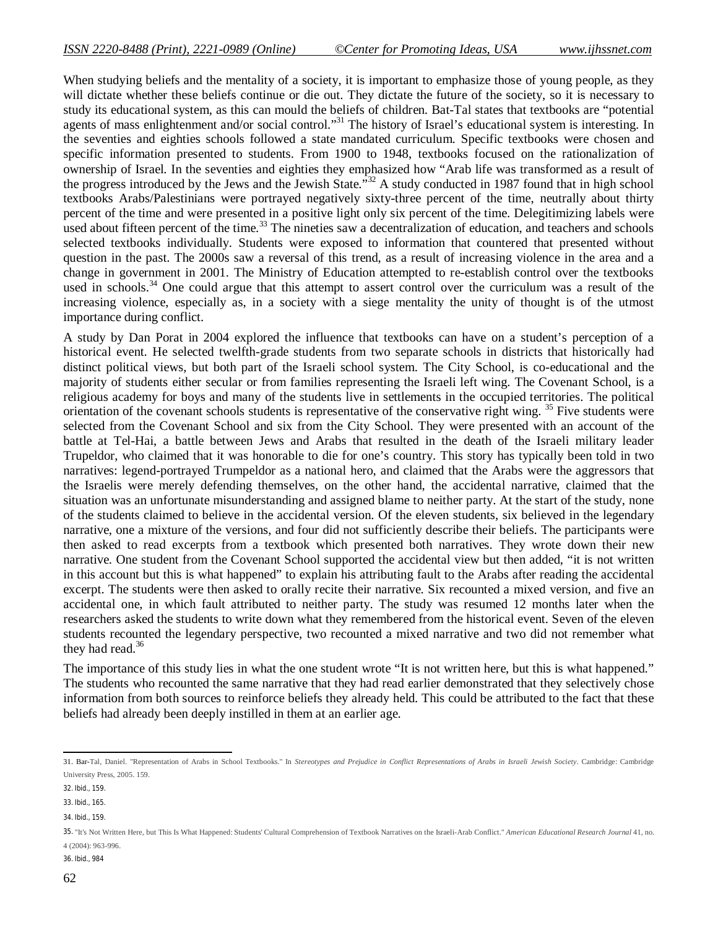When studying beliefs and the mentality of a society, it is important to emphasize those of young people, as they will dictate whether these beliefs continue or die out. They dictate the future of the society, so it is necessary to study its educational system, as this can mould the beliefs of children. Bat-Tal states that textbooks are "potential agents of mass enlightenment and/or social control."<sup>31</sup> The history of Israel's educational system is interesting. In the seventies and eighties schools followed a state mandated curriculum. Specific textbooks were chosen and specific information presented to students. From 1900 to 1948, textbooks focused on the rationalization of ownership of Israel. In the seventies and eighties they emphasized how "Arab life was transformed as a result of the progress introduced by the Jews and the Jewish State."<sup>32</sup> A study conducted in 1987 found that in high school textbooks Arabs/Palestinians were portrayed negatively sixty-three percent of the time, neutrally about thirty percent of the time and were presented in a positive light only six percent of the time. Delegitimizing labels were used about fifteen percent of the time.<sup>33</sup> The nineties saw a decentralization of education, and teachers and schools selected textbooks individually. Students were exposed to information that countered that presented without question in the past. The 2000s saw a reversal of this trend, as a result of increasing violence in the area and a change in government in 2001. The Ministry of Education attempted to re-establish control over the textbooks used in schools.<sup>34</sup> One could argue that this attempt to assert control over the curriculum was a result of the increasing violence, especially as, in a society with a siege mentality the unity of thought is of the utmost importance during conflict.

A study by Dan Porat in 2004 explored the influence that textbooks can have on a student's perception of a historical event. He selected twelfth-grade students from two separate schools in districts that historically had distinct political views, but both part of the Israeli school system. The City School, is co-educational and the majority of students either secular or from families representing the Israeli left wing. The Covenant School, is a religious academy for boys and many of the students live in settlements in the occupied territories. The political orientation of the covenant schools students is representative of the conservative right wing. <sup>35</sup> Five students were selected from the Covenant School and six from the City School. They were presented with an account of the battle at Tel-Hai, a battle between Jews and Arabs that resulted in the death of the Israeli military leader Trupeldor, who claimed that it was honorable to die for one's country. This story has typically been told in two narratives: legend-portrayed Trumpeldor as a national hero, and claimed that the Arabs were the aggressors that the Israelis were merely defending themselves, on the other hand, the accidental narrative, claimed that the situation was an unfortunate misunderstanding and assigned blame to neither party. At the start of the study, none of the students claimed to believe in the accidental version. Of the eleven students, six believed in the legendary narrative, one a mixture of the versions, and four did not sufficiently describe their beliefs. The participants were then asked to read excerpts from a textbook which presented both narratives. They wrote down their new narrative. One student from the Covenant School supported the accidental view but then added, "it is not written in this account but this is what happened" to explain his attributing fault to the Arabs after reading the accidental excerpt. The students were then asked to orally recite their narrative. Six recounted a mixed version, and five an accidental one, in which fault attributed to neither party. The study was resumed 12 months later when the researchers asked the students to write down what they remembered from the historical event. Seven of the eleven students recounted the legendary perspective, two recounted a mixed narrative and two did not remember what they had read. $36$ 

The importance of this study lies in what the one student wrote "It is not written here, but this is what happened." The students who recounted the same narrative that they had read earlier demonstrated that they selectively chose information from both sources to reinforce beliefs they already held. This could be attributed to the fact that these beliefs had already been deeply instilled in them at an earlier age.

36. Ibid., 984

 31. Bar-Tal, Daniel. "Representation of Arabs in School Textbooks." In *Stereotypes and Prejudice in Conflict Representations of Arabs in Israeli Jewish Society*. Cambridge: Cambridge University Press, 2005. 159.

<sup>32.</sup> Ibid., 159.

<sup>33.</sup> Ibid., 165.

<sup>34.</sup> Ibid., 159.

<sup>35.</sup> "It's Not Written Here, but This Is What Happened: Students' Cultural Comprehension of Textbook Narratives on the Israeli-Arab Conflict." *American Educational Research Journal* 41, no. 4 (2004): 963-996.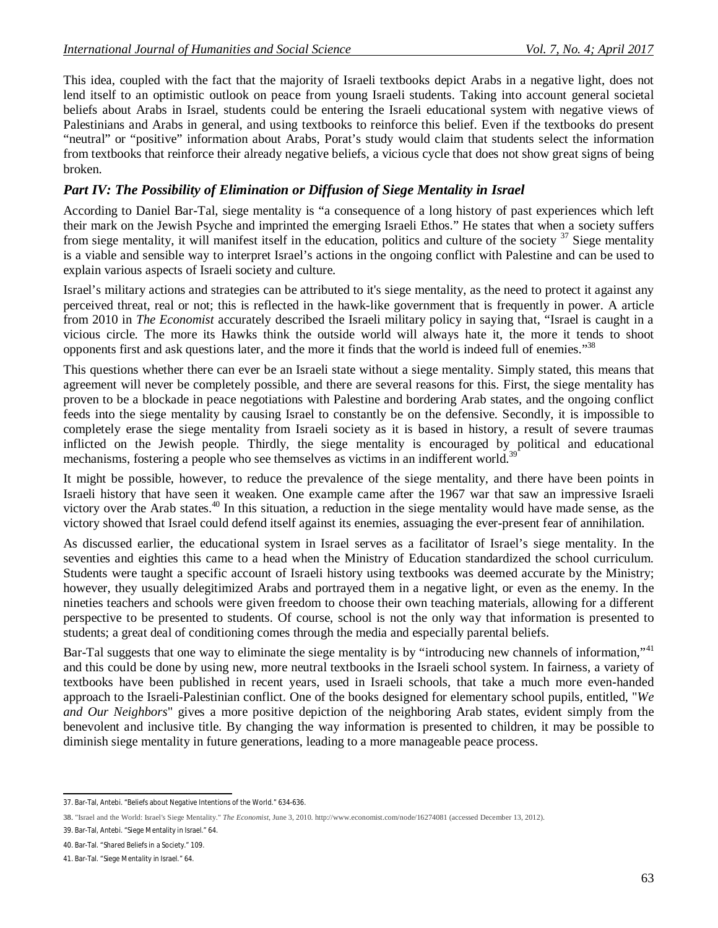This idea, coupled with the fact that the majority of Israeli textbooks depict Arabs in a negative light, does not lend itself to an optimistic outlook on peace from young Israeli students. Taking into account general societal beliefs about Arabs in Israel, students could be entering the Israeli educational system with negative views of Palestinians and Arabs in general, and using textbooks to reinforce this belief. Even if the textbooks do present "neutral" or "positive" information about Arabs, Porat's study would claim that students select the information from textbooks that reinforce their already negative beliefs, a vicious cycle that does not show great signs of being broken.

## *Part IV: The Possibility of Elimination or Diffusion of Siege Mentality in Israel*

According to Daniel Bar-Tal, siege mentality is "a consequence of a long history of past experiences which left their mark on the Jewish Psyche and imprinted the emerging Israeli Ethos." He states that when a society suffers from siege mentality, it will manifest itself in the education, politics and culture of the society  $37$  Siege mentality is a viable and sensible way to interpret Israel's actions in the ongoing conflict with Palestine and can be used to explain various aspects of Israeli society and culture.

Israel's military actions and strategies can be attributed to it's siege mentality, as the need to protect it against any perceived threat, real or not; this is reflected in the hawk-like government that is frequently in power. A article from 2010 in *The Economist* accurately described the Israeli military policy in saying that, "Israel is caught in a vicious circle. The more its Hawks think the outside world will always hate it, the more it tends to shoot opponents first and ask questions later, and the more it finds that the world is indeed full of enemies."<sup>38</sup>

This questions whether there can ever be an Israeli state without a siege mentality. Simply stated, this means that agreement will never be completely possible, and there are several reasons for this. First, the siege mentality has proven to be a blockade in peace negotiations with Palestine and bordering Arab states, and the ongoing conflict feeds into the siege mentality by causing Israel to constantly be on the defensive. Secondly, it is impossible to completely erase the siege mentality from Israeli society as it is based in history, a result of severe traumas inflicted on the Jewish people. Thirdly, the siege mentality is encouraged by political and educational mechanisms, fostering a people who see themselves as victims in an indifferent world.<sup>3</sup>

It might be possible, however, to reduce the prevalence of the siege mentality, and there have been points in Israeli history that have seen it weaken. One example came after the 1967 war that saw an impressive Israeli victory over the Arab states.<sup>40</sup> In this situation, a reduction in the siege mentality would have made sense, as the victory showed that Israel could defend itself against its enemies, assuaging the ever-present fear of annihilation.

As discussed earlier, the educational system in Israel serves as a facilitator of Israel's siege mentality. In the seventies and eighties this came to a head when the Ministry of Education standardized the school curriculum. Students were taught a specific account of Israeli history using textbooks was deemed accurate by the Ministry; however, they usually delegitimized Arabs and portrayed them in a negative light, or even as the enemy. In the nineties teachers and schools were given freedom to choose their own teaching materials, allowing for a different perspective to be presented to students. Of course, school is not the only way that information is presented to students; a great deal of conditioning comes through the media and especially parental beliefs.

Bar-Tal suggests that one way to eliminate the siege mentality is by "introducing new channels of information,"<sup>41</sup> and this could be done by using new, more neutral textbooks in the Israeli school system. In fairness, a variety of textbooks have been published in recent years, used in Israeli schools, that take a much more even-handed approach to the Israeli-Palestinian conflict. One of the books designed for elementary school pupils, entitled, "*We and Our Neighbors*" gives a more positive depiction of the neighboring Arab states, evident simply from the benevolent and inclusive title. By changing the way information is presented to children, it may be possible to diminish siege mentality in future generations, leading to a more manageable peace process.

 37. Bar-Tal, Antebi. "Beliefs about Negative Intentions of the World." 634-636.

<sup>38.</sup> "Israel and the World: Israel's Siege Mentality." *The Economist*, June 3, 2010. http://www.economist.com/node/16274081 (accessed December 13, 2012).

<sup>39.</sup> Bar-Tal, Antebi. "Siege Mentality in Israel." 64.

<sup>40.</sup> Bar-Tal. "Shared Beliefs in a Society." 109.

<sup>41.</sup> Bar-Tal. "Siege Mentality in Israel." 64.